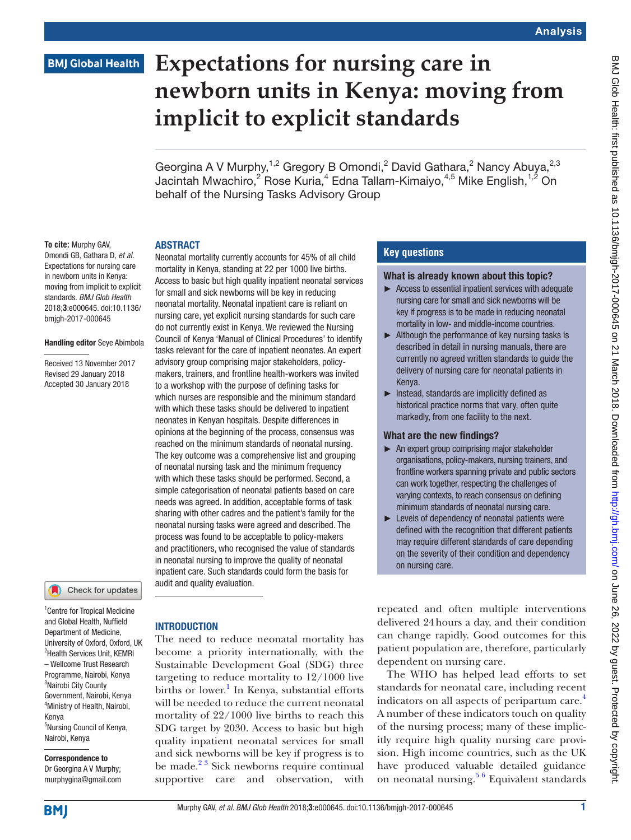## **BMJ Global Health**

# **Expectations for nursing care in newborn units in Kenya: moving from implicit to explicit standards**

Georgina A V Murphy,<sup>1,2</sup> Gregory B Omondi,<sup>2</sup> David Gathara,<sup>2</sup> Nancy Abuya,<sup>2,3</sup> Jacintah Mwachiro,<sup>2</sup> Rose Kuria,<sup>4</sup> Edna Tallam-Kimaiyo,<sup>4,5</sup> Mike English,<sup>1,2</sup> On behalf of the Nursing Tasks Advisory Group

### **ABSTRACT**

**To cite:** Murphy GAV, Omondi GB, Gathara D, *et al*. Expectations for nursing care in newborn units in Kenya: moving from implicit to explicit standards. *BMJ Glob Health* 2018;**3**:e000645. doi:10.1136/ bmjgh-2017-000645

### Handling editor Seye Abimbola

Received 13 November 2017 Revised 29 January 2018 Accepted 30 January 2018

### Check for updates

1 Centre for Tropical Medicine and Global Health, Nuffield Department of Medicine, University of Oxford, Oxford, UK <sup>2</sup>Health Services Unit, KEMRI – Wellcome Trust Research Programme, Nairobi, Kenya <sup>3</sup>Nairobi City County Government, Nairobi, Kenya 4 Ministry of Health, Nairobi, Kenya 5 Nursing Council of Kenya, Nairobi, Kenya

Correspondence to Dr Georgina A V Murphy; murphygina@gmail.com

### Council of Kenya 'Manual of Clinical Procedures' to identify tasks relevant for the care of inpatient neonates. An expert advisory group comprising major stakeholders, policymakers, trainers, and frontline health-workers was invited to a workshop with the purpose of defining tasks for which nurses are responsible and the minimum standard with which these tasks should be delivered to inpatient neonates in Kenyan hospitals. Despite differences in opinions at the beginning of the process, consensus was reached on the minimum standards of neonatal nursing. The key outcome was a comprehensive list and grouping of neonatal nursing task and the minimum frequency with which these tasks should be performed. Second, a simple categorisation of neonatal patients based on care needs was agreed. In addition, acceptable forms of task sharing with other cadres and the patient's family for the neonatal nursing tasks were agreed and described. The process was found to be acceptable to policy-makers and practitioners, who recognised the value of standards in neonatal nursing to improve the quality of neonatal inpatient care. Such standards could form the basis for audit and quality evaluation.

Neonatal mortality currently accounts for 45% of all child mortality in Kenya, standing at 22 per 1000 live births. Access to basic but high quality inpatient neonatal services for small and sick newborns will be key in reducing neonatal mortality. Neonatal inpatient care is reliant on nursing care, yet explicit nursing standards for such care do not currently exist in Kenya. We reviewed the Nursing

### **INTRODUCTION**

The need to reduce neonatal mortality has become a priority internationally, with the Sustainable Development Goal (SDG) three targeting to reduce mortality to 12/1000 live births or lower.<sup>[1](#page-7-0)</sup> In Kenya, substantial efforts will be needed to reduce the current neonatal mortality of 22/1000 live births to reach this SDG target by 2030. Access to basic but high quality inpatient neonatal services for small and sick newborns will be key if progress is to be made. $^{23}$  Sick newborns require continual supportive care and observation, with

### **Key questions**

### What is already known about this topic?

- ► Access to essential inpatient services with adequate nursing care for small and sick newborns will be key if progress is to be made in reducing neonatal mortality in low- and middle-income countries.
- $\blacktriangleright$  Although the performance of key nursing tasks is described in detail in nursing manuals, there are currently no agreed written standards to guide the delivery of nursing care for neonatal patients in Kenya.
- ► Instead, standards are implicitly defined as historical practice norms that vary, often quite markedly, from one facility to the next.

### What are the new findings?

- ► An expert group comprising major stakeholder organisations, policy-makers, nursing trainers, and frontline workers spanning private and public sectors can work together, respecting the challenges of varying contexts, to reach consensus on defining minimum standards of neonatal nursing care.
- ► Levels of dependency of neonatal patients were defined with the recognition that different patients may require different standards of care depending on the severity of their condition and dependency on nursing care.

repeated and often multiple interventions delivered 24hours a day, and their condition can change rapidly. Good outcomes for this patient population are, therefore, particularly dependent on nursing care.

The WHO has helped lead efforts to set standards for neonatal care, including recent indicators on all aspects of peripartum care.<sup>[4](#page-7-2)</sup> A number of these indicators touch on quality of the nursing process; many of these implicitly require high quality nursing care provision. High income countries, such as the UK have produced valuable detailed guidance on neonatal nursing. $56$  Equivalent standards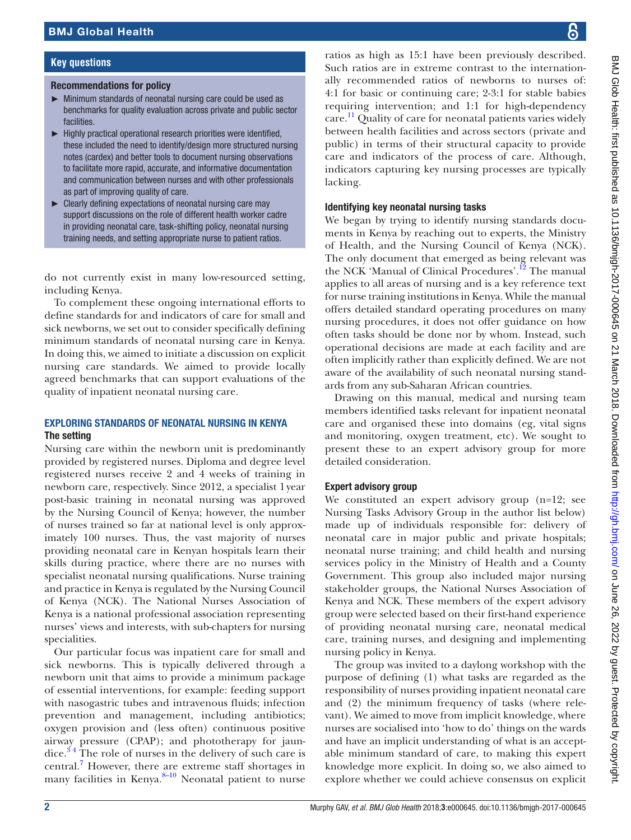### **Key questions**

### Recommendations for policy

- ► Minimum standards of neonatal nursing care could be used as benchmarks for quality evaluation across private and public sector facilities.
- ► Highly practical operational research priorities were identified, these included the need to identify/design more structured nursing notes (cardex) and better tools to document nursing observations to facilitate more rapid, accurate, and informative documentation and communication between nurses and with other professionals as part of improving quality of care.
- ► Clearly defining expectations of neonatal nursing care may support discussions on the role of different health worker cadre in providing neonatal care, task-shifting policy, neonatal nursing training needs, and setting appropriate nurse to patient ratios.

do not currently exist in many low-resourced setting, including Kenya.

To complement these ongoing international efforts to define standards for and indicators of care for small and sick newborns, we set out to consider specifically defining minimum standards of neonatal nursing care in Kenya. In doing this, we aimed to initiate a discussion on explicit nursing care standards. We aimed to provide locally agreed benchmarks that can support evaluations of the quality of inpatient neonatal nursing care.

### Exploring standards of neonatal nursing in Kenya The setting

Nursing care within the newborn unit is predominantly provided by registered nurses. Diploma and degree level registered nurses receive 2 and 4 weeks of training in newborn care, respectively. Since 2012, a specialist 1year post-basic training in neonatal nursing was approved by the Nursing Council of Kenya; however, the number of nurses trained so far at national level is only approximately 100 nurses. Thus, the vast majority of nurses providing neonatal care in Kenyan hospitals learn their skills during practice, where there are no nurses with specialist neonatal nursing qualifications. Nurse training and practice in Kenya is regulated by the Nursing Council of Kenya (NCK). The National Nurses Association of Kenya is a national professional association representing nurses' views and interests, with sub-chapters for nursing specialities.

Our particular focus was inpatient care for small and sick newborns. This is typically delivered through a newborn unit that aims to provide a minimum package of essential interventions, for example: feeding support with nasogastric tubes and intravenous fluids; infection prevention and management, including antibiotics; oxygen provision and (less often) continuous positive airway pressure (CPAP); and phototherapy for jaundice.<sup>34</sup> The role of nurses in the delivery of such care is central.[7](#page-7-5) However, there are extreme staff shortages in many facilities in Kenya.<sup>8–10</sup> Neonatal patient to nurse

ratios as high as 15:1 have been previously described. Such ratios are in extreme contrast to the internationally recommended ratios of newborns to nurses of: 4:1 for basic or continuing care; 2-3:1 for stable babies requiring intervention; and 1:1 for high-dependency care. [11](#page-7-7) Quality of care for neonatal patients varies widely between health facilities and across sectors (private and public) in terms of their structural capacity to provide care and indicators of the process of care. Although, indicators capturing key nursing processes are typically lacking.

### Identifying key neonatal nursing tasks

We began by trying to identify nursing standards documents in Kenya by reaching out to experts, the Ministry of Health, and the Nursing Council of Kenya (NCK). The only document that emerged as being relevant was the NCK 'Manual of Clinical Procedures'.<sup>12</sup> The manual applies to all areas of nursing and is a key reference text for nurse training institutions in Kenya. While the manual offers detailed standard operating procedures on many nursing procedures, it does not offer guidance on how often tasks should be done nor by whom. Instead, such operational decisions are made at each facility and are often implicitly rather than explicitly defined. We are not aware of the availability of such neonatal nursing standards from any sub-Saharan African countries.

Drawing on this manual, medical and nursing team members identified tasks relevant for inpatient neonatal care and organised these into domains (eg, vital signs and monitoring, oxygen treatment, etc). We sought to present these to an expert advisory group for more detailed consideration.

### Expert advisory group

We constituted an expert advisory group (n=12; see Nursing Tasks Advisory Group in the author list below) made up of individuals responsible for: delivery of neonatal care in major public and private hospitals; neonatal nurse training; and child health and nursing services policy in the Ministry of Health and a County Government. This group also included major nursing stakeholder groups, the National Nurses Association of Kenya and NCK. These members of the expert advisory group were selected based on their first-hand experience of providing neonatal nursing care, neonatal medical care, training nurses, and designing and implementing nursing policy in Kenya.

The group was invited to a daylong workshop with the purpose of defining (1) what tasks are regarded as the responsibility of nurses providing inpatient neonatal care and (2) the minimum frequency of tasks (where relevant). We aimed to move from implicit knowledge, where nurses are socialised into 'how to do' things on the wards and have an implicit understanding of what is an acceptable minimum standard of care, to making this expert knowledge more explicit. In doing so, we also aimed to explore whether we could achieve consensus on explicit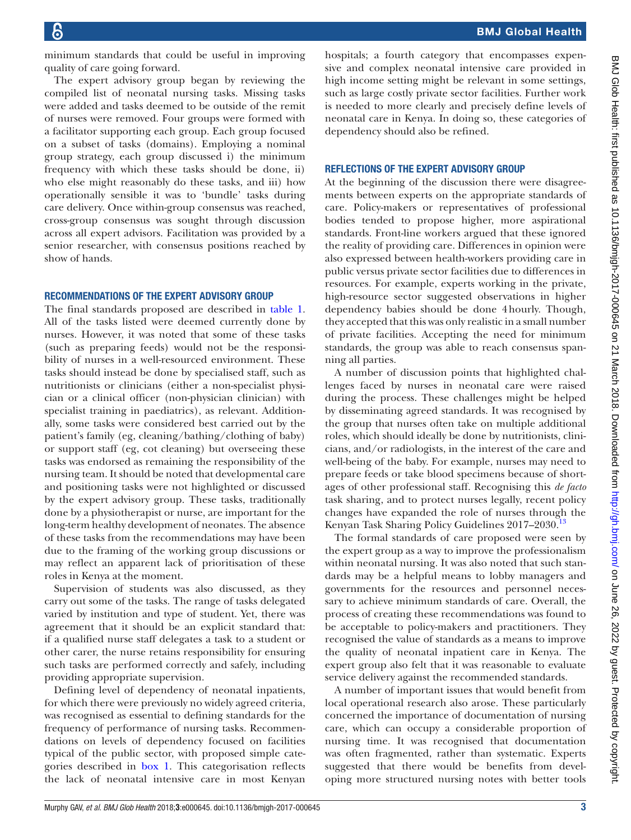BMJ Glob Health: first published as 10.1136/bmigh-2017-000645 on 21 March 2018. Downloaded from http://gh.bmj.com/ on June 26, 2022 by guest. Protected by copyright BMJ Glob Health: first published as 10.1136/bmjgh-2017-000645 on Alarch 2018. Downloaded from <http://gh.bmj.com/> on June 26, 2022 by guest. Protected by copyright.

minimum standards that could be useful in improving quality of care going forward.

The expert advisory group began by reviewing the compiled list of neonatal nursing tasks. Missing tasks were added and tasks deemed to be outside of the remit of nurses were removed. Four groups were formed with a facilitator supporting each group. Each group focused on a subset of tasks (domains). Employing a nominal group strategy, each group discussed i) the minimum frequency with which these tasks should be done, ii) who else might reasonably do these tasks, and iii) how operationally sensible it was to 'bundle' tasks during care delivery. Once within-group consensus was reached, cross-group consensus was sought through discussion across all expert advisors. Facilitation was provided by a senior researcher, with consensus positions reached by show of hands.

### Recommendations of the expert advisory group

The final standards proposed are described in [table](#page-3-0) 1. All of the tasks listed were deemed currently done by nurses. However, it was noted that some of these tasks (such as preparing feeds) would not be the responsibility of nurses in a well-resourced environment. These tasks should instead be done by specialised staff, such as nutritionists or clinicians (either a non-specialist physician or a clinical officer (non-physician clinician) with specialist training in paediatrics), as relevant. Additionally, some tasks were considered best carried out by the patient's family (eg, cleaning/bathing/clothing of baby) or support staff (eg, cot cleaning) but overseeing these tasks was endorsed as remaining the responsibility of the nursing team. It should be noted that developmental care and positioning tasks were not highlighted or discussed by the expert advisory group. These tasks, traditionally done by a physiotherapist or nurse, are important for the long-term healthy development of neonates. The absence of these tasks from the recommendations may have been due to the framing of the working group discussions or may reflect an apparent lack of prioritisation of these roles in Kenya at the moment.

Supervision of students was also discussed, as they carry out some of the tasks. The range of tasks delegated varied by institution and type of student. Yet, there was agreement that it should be an explicit standard that: if a qualified nurse staff delegates a task to a student or other carer, the nurse retains responsibility for ensuring such tasks are performed correctly and safely, including providing appropriate supervision.

Defining level of dependency of neonatal inpatients, for which there were previously no widely agreed criteria, was recognised as essential to defining standards for the frequency of performance of nursing tasks. Recommendations on levels of dependency focused on facilities typical of the public sector, with proposed simple categories described in [box](#page-7-9) 1. This categorisation reflects the lack of neonatal intensive care in most Kenyan

hospitals; a fourth category that encompasses expensive and complex neonatal intensive care provided in high income setting might be relevant in some settings, such as large costly private sector facilities. Further work is needed to more clearly and precisely define levels of neonatal care in Kenya. In doing so, these categories of dependency should also be refined.

### Reflections of the expert advisory group

At the beginning of the discussion there were disagreements between experts on the appropriate standards of care. Policy-makers or representatives of professional bodies tended to propose higher, more aspirational standards. Front-line workers argued that these ignored the reality of providing care. Differences in opinion were also expressed between health-workers providing care in public versus private sector facilities due to differences in resources. For example, experts working in the private, high-resource sector suggested observations in higher dependency babies should be done 4hourly. Though, they accepted that this was only realistic in a small number of private facilities. Accepting the need for minimum standards, the group was able to reach consensus spanning all parties.

A number of discussion points that highlighted challenges faced by nurses in neonatal care were raised during the process. These challenges might be helped by disseminating agreed standards. It was recognised by the group that nurses often take on multiple additional roles, which should ideally be done by nutritionists, clinicians, and/or radiologists, in the interest of the care and well-being of the baby. For example, nurses may need to prepare feeds or take blood specimens because of shortages of other professional staff. Recognising this *de facto* task sharing, and to protect nurses legally, recent policy changes have expanded the role of nurses through the Kenyan Task Sharing Policy Guidelines 2017–2030.<sup>[13](#page-7-10)</sup>

The formal standards of care proposed were seen by the expert group as a way to improve the professionalism within neonatal nursing. It was also noted that such standards may be a helpful means to lobby managers and governments for the resources and personnel necessary to achieve minimum standards of care. Overall, the process of creating these recommendations was found to be acceptable to policy-makers and practitioners. They recognised the value of standards as a means to improve the quality of neonatal inpatient care in Kenya. The expert group also felt that it was reasonable to evaluate service delivery against the recommended standards.

A number of important issues that would benefit from local operational research also arose. These particularly concerned the importance of documentation of nursing care, which can occupy a considerable proportion of nursing time. It was recognised that documentation was often fragmented, rather than systematic. Experts suggested that there would be benefits from developing more structured nursing notes with better tools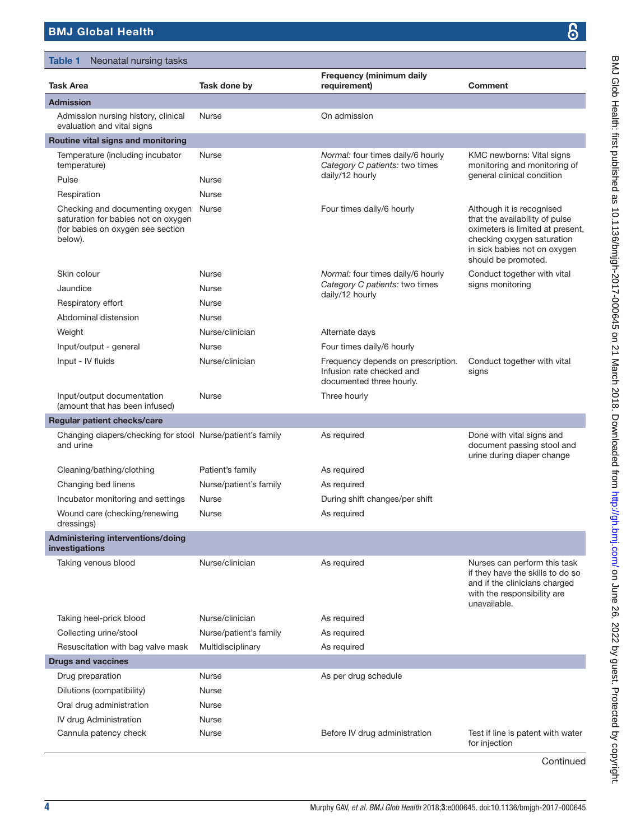BMJ Glob Health: first published as 10.1136/bmjgh-2017-000645 on Alarch 2018. Downloaded from <http://gh.bmj.com/> on June 26, 2022 by guest. Protected by copyright.

BMJ Glob Health: first published as 10.1136/bmigh-2017-000645 on 21 March 2018. Downloaded from http://gh.bmj.com/ on June 26, 2022 by guest. Protected by copyright.

<span id="page-3-0"></span>

| Table 1<br>Neonatal nursing tasks                                                                                      |                        |                                                                                             |                                                                                                                                                                                      |
|------------------------------------------------------------------------------------------------------------------------|------------------------|---------------------------------------------------------------------------------------------|--------------------------------------------------------------------------------------------------------------------------------------------------------------------------------------|
| <b>Task Area</b>                                                                                                       | Task done by           | Frequency (minimum daily<br>requirement)                                                    | Comment                                                                                                                                                                              |
| <b>Admission</b>                                                                                                       |                        |                                                                                             |                                                                                                                                                                                      |
| Admission nursing history, clinical<br>evaluation and vital signs                                                      | <b>Nurse</b>           | On admission                                                                                |                                                                                                                                                                                      |
| Routine vital signs and monitoring                                                                                     |                        |                                                                                             |                                                                                                                                                                                      |
| Temperature (including incubator<br>temperature)                                                                       | Nurse                  | Normal: four times daily/6 hourly<br>Category C patients: two times                         | KMC newborns: Vital signs<br>monitoring and monitoring of                                                                                                                            |
| Pulse                                                                                                                  | <b>Nurse</b>           | daily/12 hourly                                                                             | general clinical condition                                                                                                                                                           |
| Respiration                                                                                                            | <b>Nurse</b>           |                                                                                             |                                                                                                                                                                                      |
| Checking and documenting oxygen<br>saturation for babies not on oxygen<br>(for babies on oxygen see section<br>below). | Nurse                  | Four times daily/6 hourly                                                                   | Although it is recognised<br>that the availability of pulse<br>oximeters is limited at present,<br>checking oxygen saturation<br>in sick babies not on oxygen<br>should be promoted. |
| Skin colour                                                                                                            | Nurse                  | Normal: four times daily/6 hourly                                                           | Conduct together with vital<br>signs monitoring                                                                                                                                      |
| Jaundice                                                                                                               | <b>Nurse</b>           | Category C patients: two times<br>daily/12 hourly                                           |                                                                                                                                                                                      |
| Respiratory effort                                                                                                     | <b>Nurse</b>           |                                                                                             |                                                                                                                                                                                      |
| Abdominal distension                                                                                                   | <b>Nurse</b>           |                                                                                             |                                                                                                                                                                                      |
| Weight                                                                                                                 | Nurse/clinician        | Alternate days                                                                              |                                                                                                                                                                                      |
| Input/output - general                                                                                                 | <b>Nurse</b>           | Four times daily/6 hourly                                                                   |                                                                                                                                                                                      |
| Input - IV fluids                                                                                                      | Nurse/clinician        | Frequency depends on prescription.<br>Infusion rate checked and<br>documented three hourly. | Conduct together with vital<br>signs                                                                                                                                                 |
| Input/output documentation<br>(amount that has been infused)                                                           | Nurse                  | Three hourly                                                                                |                                                                                                                                                                                      |
| Regular patient checks/care                                                                                            |                        |                                                                                             |                                                                                                                                                                                      |
| Changing diapers/checking for stool Nurse/patient's family<br>and urine                                                |                        | As required                                                                                 | Done with vital signs and<br>document passing stool and<br>urine during diaper change                                                                                                |
| Cleaning/bathing/clothing                                                                                              | Patient's family       | As required                                                                                 |                                                                                                                                                                                      |
| Changing bed linens                                                                                                    | Nurse/patient's family | As required                                                                                 |                                                                                                                                                                                      |
| Incubator monitoring and settings                                                                                      | <b>Nurse</b>           | During shift changes/per shift                                                              |                                                                                                                                                                                      |
| Wound care (checking/renewing                                                                                          | Nurse                  | As required                                                                                 |                                                                                                                                                                                      |
| dressings)<br>Administering interventions/doing                                                                        |                        |                                                                                             |                                                                                                                                                                                      |
| investigations                                                                                                         |                        |                                                                                             |                                                                                                                                                                                      |
| Taking venous blood                                                                                                    | Nurse/clinician        | As required                                                                                 | Nurses can perform this task<br>if they have the skills to do so<br>and if the clinicians charged<br>with the responsibility are<br>unavailable.                                     |
| Taking heel-prick blood                                                                                                | Nurse/clinician        | As required                                                                                 |                                                                                                                                                                                      |
| Collecting urine/stool                                                                                                 | Nurse/patient's family | As required                                                                                 |                                                                                                                                                                                      |
| Resuscitation with bag valve mask                                                                                      | Multidisciplinary      | As required                                                                                 |                                                                                                                                                                                      |
| <b>Drugs and vaccines</b>                                                                                              |                        |                                                                                             |                                                                                                                                                                                      |
| Drug preparation                                                                                                       | <b>Nurse</b>           | As per drug schedule                                                                        |                                                                                                                                                                                      |
| Dilutions (compatibility)                                                                                              | <b>Nurse</b>           |                                                                                             |                                                                                                                                                                                      |
| Oral drug administration                                                                                               | <b>Nurse</b>           |                                                                                             |                                                                                                                                                                                      |
| IV drug Administration                                                                                                 | <b>Nurse</b>           |                                                                                             |                                                                                                                                                                                      |
| Cannula patency check                                                                                                  | Nurse                  | Before IV drug administration                                                               | Test if line is patent with water<br>for injection                                                                                                                                   |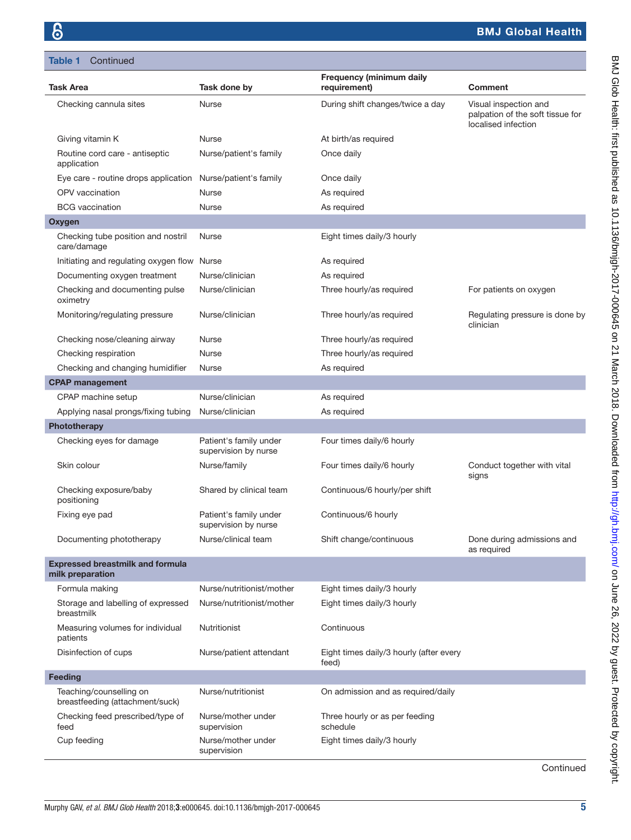### Table 1 Continued

### BMJ Global Health

| <b>Task Area</b>                                            | Task done by                                   | Frequency (minimum daily<br>requirement)         | <b>Comment</b>                                                                   |
|-------------------------------------------------------------|------------------------------------------------|--------------------------------------------------|----------------------------------------------------------------------------------|
| Checking cannula sites                                      | Nurse                                          | During shift changes/twice a day                 | Visual inspection and<br>palpation of the soft tissue for<br>localised infection |
| Giving vitamin K                                            | Nurse                                          | At birth/as required                             |                                                                                  |
| Routine cord care - antiseptic<br>application               | Nurse/patient's family                         | Once daily                                       |                                                                                  |
| Eye care - routine drops application Nurse/patient's family |                                                | Once daily                                       |                                                                                  |
| <b>OPV</b> vaccination                                      | Nurse                                          | As required                                      |                                                                                  |
| <b>BCG</b> vaccination                                      | Nurse                                          | As required                                      |                                                                                  |
| Oxygen                                                      |                                                |                                                  |                                                                                  |
| Checking tube position and nostril<br>care/damage           | Nurse                                          | Eight times daily/3 hourly                       |                                                                                  |
| Initiating and regulating oxygen flow Nurse                 |                                                | As required                                      |                                                                                  |
| Documenting oxygen treatment                                | Nurse/clinician                                | As required                                      |                                                                                  |
| Checking and documenting pulse<br>oximetry                  | Nurse/clinician                                | Three hourly/as required                         | For patients on oxygen                                                           |
| Monitoring/regulating pressure                              | Nurse/clinician                                | Three hourly/as required                         | Regulating pressure is done by<br>clinician                                      |
| Checking nose/cleaning airway                               | Nurse                                          | Three hourly/as required                         |                                                                                  |
| Checking respiration                                        | <b>Nurse</b>                                   | Three hourly/as required                         |                                                                                  |
| Checking and changing humidifier                            | <b>Nurse</b>                                   | As required                                      |                                                                                  |
| <b>CPAP management</b>                                      |                                                |                                                  |                                                                                  |
| CPAP machine setup                                          | Nurse/clinician                                | As required                                      |                                                                                  |
| Applying nasal prongs/fixing tubing                         | Nurse/clinician                                | As required                                      |                                                                                  |
| Phototherapy                                                |                                                |                                                  |                                                                                  |
| Checking eyes for damage                                    | Patient's family under<br>supervision by nurse | Four times daily/6 hourly                        |                                                                                  |
| Skin colour                                                 | Nurse/family                                   | Four times daily/6 hourly                        | Conduct together with vital<br>signs                                             |
| Checking exposure/baby<br>positioning                       | Shared by clinical team                        | Continuous/6 hourly/per shift                    |                                                                                  |
| Fixing eye pad                                              | Patient's family under<br>supervision by nurse | Continuous/6 hourly                              |                                                                                  |
| Documenting phototherapy                                    | Nurse/clinical team                            | Shift change/continuous                          | Done during admissions and<br>as required                                        |
| <b>Expressed breastmilk and formula</b><br>milk preparation |                                                |                                                  |                                                                                  |
| Formula making                                              | Nurse/nutritionist/mother                      | Eight times daily/3 hourly                       |                                                                                  |
| Storage and labelling of expressed<br>breastmilk            | Nurse/nutritionist/mother                      | Eight times daily/3 hourly                       |                                                                                  |
| Measuring volumes for individual<br>patients                | Nutritionist                                   | Continuous                                       |                                                                                  |
| Disinfection of cups                                        | Nurse/patient attendant                        | Eight times daily/3 hourly (after every<br>feed) |                                                                                  |
| Feeding                                                     |                                                |                                                  |                                                                                  |
| Teaching/counselling on<br>breastfeeding (attachment/suck)  | Nurse/nutritionist                             | On admission and as required/daily               |                                                                                  |
| Checking feed prescribed/type of<br>feed                    | Nurse/mother under<br>supervision              | Three hourly or as per feeding<br>schedule       |                                                                                  |
| Cup feeding                                                 | Nurse/mother under<br>supervision              | Eight times daily/3 hourly                       |                                                                                  |

**Continued**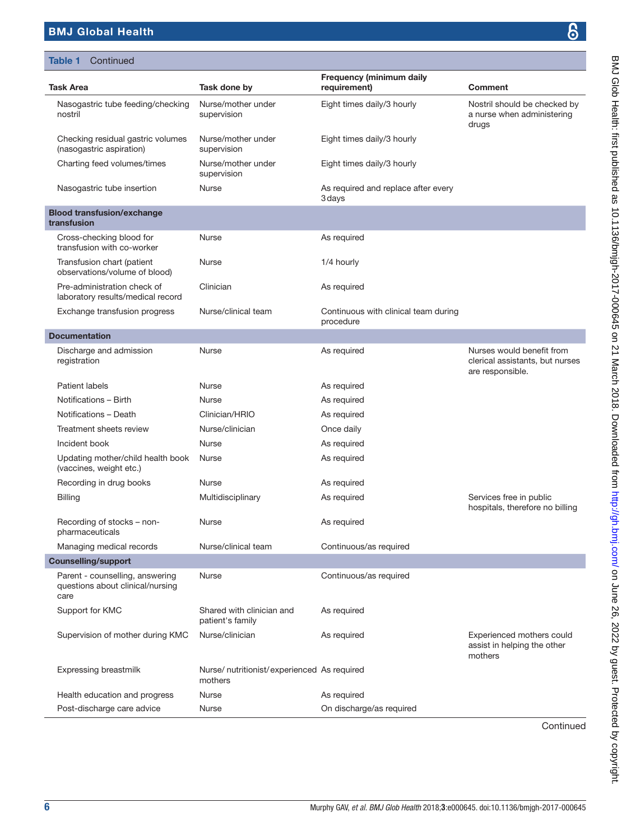Table 1 Continued

| <b>Task Area</b>                                                            | Task done by                                           | Frequency (minimum daily<br>requirement)          | <b>Comment</b>                                                                   |
|-----------------------------------------------------------------------------|--------------------------------------------------------|---------------------------------------------------|----------------------------------------------------------------------------------|
| Nasogastric tube feeding/checking<br>nostril                                | Nurse/mother under<br>supervision                      | Eight times daily/3 hourly                        | Nostril should be checked by<br>a nurse when administering<br>drugs              |
| Checking residual gastric volumes<br>(nasogastric aspiration)               | Nurse/mother under<br>supervision                      | Eight times daily/3 hourly                        |                                                                                  |
| Charting feed volumes/times                                                 | Nurse/mother under<br>supervision                      | Eight times daily/3 hourly                        |                                                                                  |
| Nasogastric tube insertion                                                  | <b>Nurse</b>                                           | As required and replace after every<br>3 days     |                                                                                  |
| <b>Blood transfusion/exchange</b><br>transfusion                            |                                                        |                                                   |                                                                                  |
| Cross-checking blood for<br>transfusion with co-worker                      | <b>Nurse</b>                                           | As required                                       |                                                                                  |
| Transfusion chart (patient<br>observations/volume of blood)                 | Nurse                                                  | 1/4 hourly                                        |                                                                                  |
| Pre-administration check of<br>laboratory results/medical record            | Clinician                                              | As required                                       |                                                                                  |
| Exchange transfusion progress                                               | Nurse/clinical team                                    | Continuous with clinical team during<br>procedure |                                                                                  |
| <b>Documentation</b>                                                        |                                                        |                                                   |                                                                                  |
| Discharge and admission<br>registration                                     | <b>Nurse</b>                                           | As required                                       | Nurses would benefit from<br>clerical assistants, but nurses<br>are responsible. |
| Patient labels                                                              | <b>Nurse</b>                                           | As required                                       |                                                                                  |
| Notifications - Birth                                                       | <b>Nurse</b>                                           | As required                                       |                                                                                  |
| Notifications - Death                                                       | Clinician/HRIO                                         | As required                                       |                                                                                  |
| Treatment sheets review                                                     | Nurse/clinician                                        | Once daily                                        |                                                                                  |
| Incident book                                                               | <b>Nurse</b>                                           | As required                                       |                                                                                  |
| Updating mother/child health book<br>(vaccines, weight etc.)                | Nurse                                                  | As required                                       |                                                                                  |
| Recording in drug books                                                     | Nurse                                                  | As required                                       |                                                                                  |
| <b>Billing</b>                                                              | Multidisciplinary                                      | As required                                       | Services free in public<br>hospitals, therefore no billing                       |
| Recording of stocks - non-<br>pharmaceuticals                               | Nurse                                                  | As required                                       |                                                                                  |
| Managing medical records                                                    | Nurse/clinical team                                    | Continuous/as required                            |                                                                                  |
| <b>Counselling/support</b>                                                  |                                                        |                                                   |                                                                                  |
| Parent - counselling, answering<br>questions about clinical/nursing<br>care | <b>Nurse</b>                                           | Continuous/as required                            |                                                                                  |
| Support for KMC                                                             | Shared with clinician and<br>patient's family          | As required                                       |                                                                                  |
| Supervision of mother during KMC                                            | Nurse/clinician                                        | As required                                       | <b>Experienced mothers could</b><br>assist in helping the other<br>mothers       |
| <b>Expressing breastmilk</b>                                                | Nurse/ nutritionist/experienced As required<br>mothers |                                                   |                                                                                  |
| Health education and progress                                               | <b>Nurse</b>                                           | As required                                       |                                                                                  |
| Post-discharge care advice                                                  | Nurse                                                  | On discharge/as required                          |                                                                                  |

**Continued** 

BMJ Glob Health: first published as 10.1136/bmigh-2017-000645 on 21 March 2018. Downloaded from http://gh.bmj.com/ on June 26, 2022 by guest. Protected by copyright. BMJ Glob Health: first published as 10.1136/bmjgh-2017-000645 on Alarch 2018. Downloaded from <http://gh.bmj.com/> on June 26, 2022 by guest. Protected by copyright.

6 Murphy GAV, *et al*. *BMJ Glob Health* 2018;**3**:e000645. doi:10.1136/bmjgh-2017-000645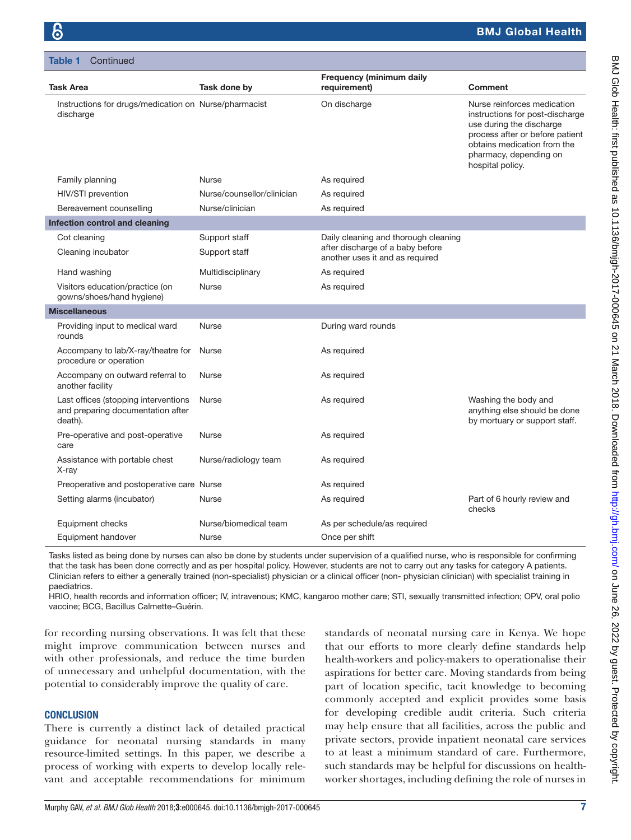### BMJ Global Health

| Table 1<br>Continued                                                                 |                            |                                                                     |                                                                                                                                                                                                            |
|--------------------------------------------------------------------------------------|----------------------------|---------------------------------------------------------------------|------------------------------------------------------------------------------------------------------------------------------------------------------------------------------------------------------------|
|                                                                                      |                            | <b>Frequency (minimum daily</b>                                     |                                                                                                                                                                                                            |
| <b>Task Area</b>                                                                     | Task done by               | requirement)                                                        | <b>Comment</b>                                                                                                                                                                                             |
| Instructions for drugs/medication on Nurse/pharmacist<br>discharge                   |                            | On discharge                                                        | Nurse reinforces medication<br>instructions for post-discharge<br>use during the discharge<br>process after or before patient<br>obtains medication from the<br>pharmacy, depending on<br>hospital policy. |
| Family planning                                                                      | <b>Nurse</b>               | As required                                                         |                                                                                                                                                                                                            |
| HIV/STI prevention                                                                   | Nurse/counsellor/clinician | As required                                                         |                                                                                                                                                                                                            |
| Bereavement counselling                                                              | Nurse/clinician            | As required                                                         |                                                                                                                                                                                                            |
| Infection control and cleaning                                                       |                            |                                                                     |                                                                                                                                                                                                            |
| Cot cleaning                                                                         | Support staff              | Daily cleaning and thorough cleaning                                |                                                                                                                                                                                                            |
| Cleaning incubator                                                                   | Support staff              | after discharge of a baby before<br>another uses it and as required |                                                                                                                                                                                                            |
| Hand washing                                                                         | Multidisciplinary          | As required                                                         |                                                                                                                                                                                                            |
| Visitors education/practice (on<br>gowns/shoes/hand hygiene)                         | <b>Nurse</b>               | As required                                                         |                                                                                                                                                                                                            |
| <b>Miscellaneous</b>                                                                 |                            |                                                                     |                                                                                                                                                                                                            |
| Providing input to medical ward<br>rounds                                            | <b>Nurse</b>               | During ward rounds                                                  |                                                                                                                                                                                                            |
| Accompany to lab/X-ray/theatre for<br>procedure or operation                         | Nurse                      | As required                                                         |                                                                                                                                                                                                            |
| Accompany on outward referral to<br>another facility                                 | <b>Nurse</b>               | As required                                                         |                                                                                                                                                                                                            |
| Last offices (stopping interventions<br>and preparing documentation after<br>death). | Nurse                      | As required                                                         | Washing the body and<br>anything else should be done<br>by mortuary or support staff.                                                                                                                      |
| Pre-operative and post-operative<br>care                                             | <b>Nurse</b>               | As required                                                         |                                                                                                                                                                                                            |
| Assistance with portable chest<br>X-ray                                              | Nurse/radiology team       | As required                                                         |                                                                                                                                                                                                            |
| Preoperative and postoperative care Nurse                                            |                            | As required                                                         |                                                                                                                                                                                                            |
| Setting alarms (incubator)                                                           | <b>Nurse</b>               | As required                                                         | Part of 6 hourly review and<br>checks                                                                                                                                                                      |
| Equipment checks                                                                     | Nurse/biomedical team      | As per schedule/as required                                         |                                                                                                                                                                                                            |
| Equipment handover                                                                   | Nurse                      | Once per shift                                                      |                                                                                                                                                                                                            |

Tasks listed as being done by nurses can also be done by students under supervision of a qualified nurse, who is responsible for confirming that the task has been done correctly and as per hospital policy. However, students are not to carry out any tasks for category A patients. Clinician refers to either a generally trained (non-specialist) physician or a clinical officer (non- physician clinician) with specialist training in paediatrics.

HRIO, health records and information officer; IV, intravenous; KMC, kangaroo mother care; STI, sexually transmitted infection; OPV, oral polio vaccine; BCG, Bacillus Calmette–Guérin.

for recording nursing observations. It was felt that these might improve communication between nurses and with other professionals, and reduce the time burden of unnecessary and unhelpful documentation, with the potential to considerably improve the quality of care.

### **CONCLUSION**

There is currently a distinct lack of detailed practical guidance for neonatal nursing standards in many resource-limited settings. In this paper, we describe a process of working with experts to develop locally relevant and acceptable recommendations for minimum

standards of neonatal nursing care in Kenya. We hope that our efforts to more clearly define standards help health-workers and policy-makers to operationalise their aspirations for better care. Moving standards from being part of location specific, tacit knowledge to becoming commonly accepted and explicit provides some basis for developing credible audit criteria. Such criteria may help ensure that all facilities, across the public and private sectors, provide inpatient neonatal care services to at least a minimum standard of care. Furthermore, such standards may be helpful for discussions on healthworker shortages, including defining the role of nurses in